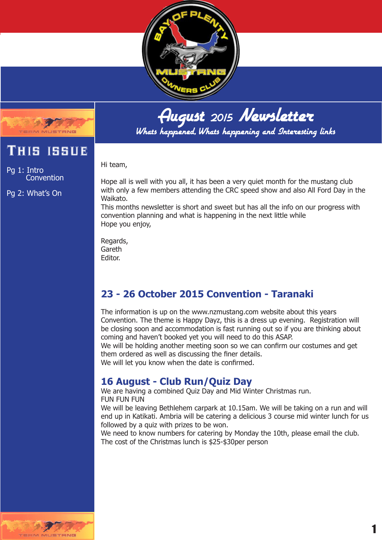



Whats happened, Whats happening and Interesting links

Hi team,

Pg 1: Intro Convention

This issue

Pg 2: What's On

Hope all is well with you all, it has been a very quiet month for the mustang club with only a few members attending the CRC speed show and also All Ford Day in the Waikato.

This months newsletter is short and sweet but has all the info on our progress with convention planning and what is happening in the next little while Hope you enjoy,

Regards, Gareth Editor.

## **23 - 26 October 2015 Convention - Taranaki**

The information is up on the www.nzmustang.com website about this years Convention. The theme is Happy Dayz, this is a dress up evening. Registration will be closing soon and accommodation is fast running out so if you are thinking about coming and haven't booked yet you will need to do this ASAP.

We will be holding another meeting soon so we can confirm our costumes and get them ordered as well as discussing the finer details.

We will let you know when the date is confirmed.

## **16 August - Club Run/Quiz Day**

We are having a combined Quiz Day and Mid Winter Christmas run. FUN FUN FUN

We will be leaving Bethlehem carpark at 10.15am. We will be taking on a run and will end up in Katikati. Ambria will be catering a delicious 3 course mid winter lunch for us followed by a quiz with prizes to be won.

We need to know numbers for catering by Monday the 10th, please email the club. The cost of the Christmas lunch is \$25-\$30per person